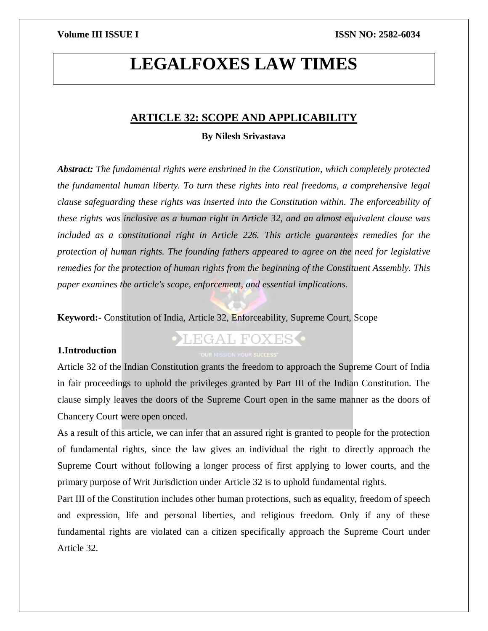# **LEGALFOXES LAW TIMES**

### **ARTICLE 32: SCOPE AND APPLICABILITY**

### **By Nilesh Srivastava**

*Abstract: The fundamental rights were enshrined in the Constitution, which completely protected the fundamental human liberty. To turn these rights into real freedoms, a comprehensive legal clause safeguarding these rights was inserted into the Constitution within. The enforceability of these rights was inclusive as a human right in Article 32, and an almost equivalent clause was included as a constitutional right in Article 226. This article guarantees remedies for the protection of human rights. The founding fathers appeared to agree on the need for legislative remedies for the protection of human rights from the beginning of the Constituent Assembly. This paper examines the article's scope, enforcement, and essential implications.*

**Keyword:-** Constitution of India, Article 32, Enforceability, Supreme Court, Scope

#### **1.Introduction**

## **•LEGAL FOXES**

Article 32 of the Indian Constitution grants the freedom to approach the Supreme Court of India in fair proceedings to uphold the privileges granted by Part III of the Indian Constitution. The clause simply leaves the doors of the Supreme Court open in the same manner as the doors of Chancery Court were open onced.

As a result of this article, we can infer that an assured right is granted to people for the protection of fundamental rights, since the law gives an individual the right to directly approach the Supreme Court without following a longer process of first applying to lower courts, and the primary purpose of Writ Jurisdiction under Article 32 is to uphold fundamental rights.

Part III of the Constitution includes other human protections, such as equality, freedom of speech and expression, life and personal liberties, and religious freedom. Only if any of these fundamental rights are violated can a citizen specifically approach the Supreme Court under Article 32.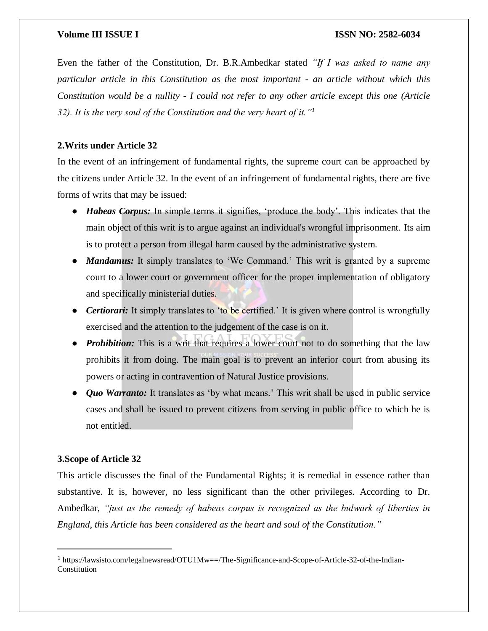Even the father of the Constitution, Dr. B.R.Ambedkar stated *"If I was asked to name any particular article in this Constitution as the most important - an article without which this Constitution would be a nullity - I could not refer to any other article except this one (Article 32). It is the very soul of the Constitution and the very heart of it."<sup>1</sup>*

### **2.Writs under Article 32**

In the event of an infringement of fundamental rights, the supreme court can be approached by the citizens under Article 32. In the event of an infringement of fundamental rights, there are five forms of writs that may be issued:

- *Habeas Corpus:* In simple terms it signifies, 'produce the body'. This indicates that the main object of this writ is to argue against an individual's wrongful imprisonment. Its aim is to protect a person from illegal harm caused by the administrative system.
- *Mandamus:* It simply translates to 'We Command.' This writ is granted by a supreme court to a lower court or government officer for the proper implementation of obligatory and specifically ministerial duties.
- *Certiorari:* It simply translates to 'to be certified.' It is given where control is wrongfully exercised and the attention to the judgement of the case is on it.
- *Prohibition:* This is a writ that requires a lower court not to do something that the law prohibits it from doing. The main goal is to prevent an inferior court from abusing its powers or acting in contravention of Natural Justice provisions.
- *Quo Warranto:* It translates as 'by what means.' This writ shall be used in public service cases and shall be issued to prevent citizens from serving in public office to which he is not entitled.

### **3.Scope of Article 32**

 $\overline{\phantom{a}}$ 

This article discusses the final of the Fundamental Rights; it is remedial in essence rather than substantive. It is, however, no less significant than the other privileges. According to Dr. Ambedkar, *"just as the remedy of habeas corpus is recognized as the bulwark of liberties in England, this Article has been considered as the heart and soul of the Constitution."*

<sup>1</sup> https://lawsisto.com/legalnewsread/OTU1Mw==/The-Significance-and-Scope-of-Article-32-of-the-Indian-Constitution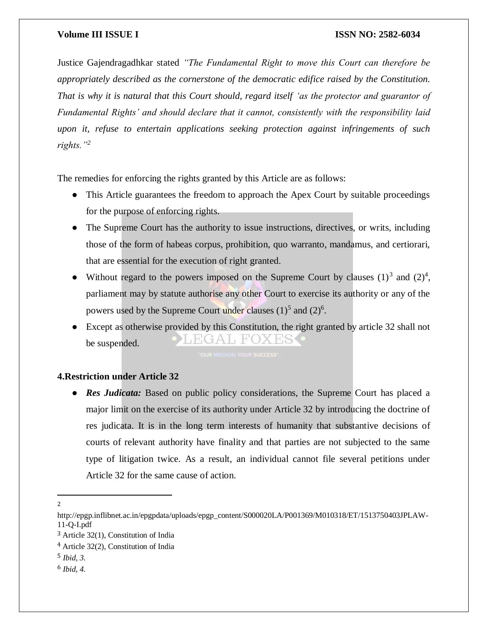Justice Gajendragadhkar stated *"The Fundamental Right to move this Court can therefore be appropriately described as the cornerstone of the democratic edifice raised by the Constitution. That is why it is natural that this Court should, regard itself 'as the protector and guarantor of Fundamental Rights' and should declare that it cannot, consistently with the responsibility laid upon it, refuse to entertain applications seeking protection against infringements of such rights."<sup>2</sup>*

The remedies for enforcing the rights granted by this Article are as follows:

- This Article guarantees the freedom to approach the Apex Court by suitable proceedings for the purpose of enforcing rights.
- The Supreme Court has the authority to issue instructions, directives, or writs, including those of the form of habeas corpus, prohibition, quo warranto, mandamus, and certiorari, that are essential for the execution of right granted.
- Without regard to the powers imposed on the Supreme Court by clauses  $(1)^3$  and  $(2)^4$ , parliament may by statute authorise any other Court to exercise its authority or any of the powers used by the Supreme Court under clauses  $(1)^5$  and  $(2)^6$ .
- Except as otherwise provided by this Constitution, the right granted by article 32 shall not EGAL FOXES be suspended.

### **4.Restriction under Article 32**

**Res Judicata:** Based on public policy considerations, the Supreme Court has placed a major limit on the exercise of its authority under Article 32 by introducing the doctrine of res judicata. It is in the long term interests of humanity that substantive decisions of courts of relevant authority have finality and that parties are not subjected to the same type of litigation twice. As a result, an individual cannot file several petitions under Article 32 for the same cause of action.

 $\overline{a}$ 2

http://epgp.inflibnet.ac.in/epgpdata/uploads/epgp\_content/S000020LA/P001369/M010318/ET/1513750403JPLAW-11-Q-I.pdf

<sup>3</sup> Article 32(1), Constitution of India

<sup>4</sup> Article 32(2), Constitution of India

<sup>5</sup> *Ibid, 3.*

<sup>6</sup> *Ibid, 4.*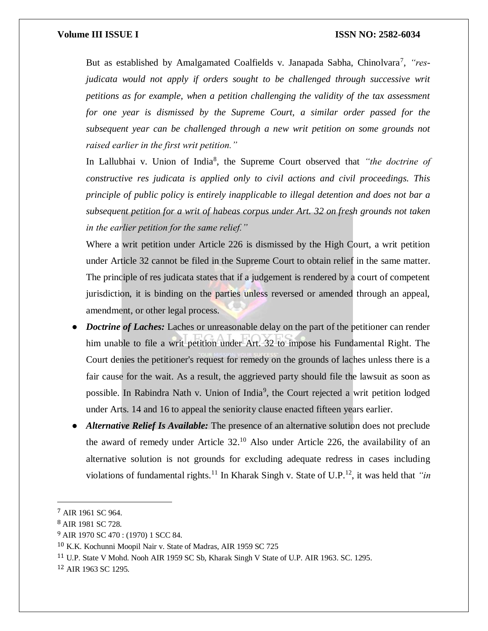But as established by Amalgamated Coalfields v. Janapada Sabha, Chinolvara<sup>7</sup>, "res*judicata would not apply if orders sought to be challenged through successive writ petitions as for example, when a petition challenging the validity of the tax assessment for one year is dismissed by the Supreme Court, a similar order passed for the subsequent year can be challenged through a new writ petition on some grounds not raised earlier in the first writ petition."*

In Lallubhai v. Union of India<sup>8</sup>, the Supreme Court observed that *"the doctrine of constructive res judicata is applied only to civil actions and civil proceedings. This principle of public policy is entirely inapplicable to illegal detention and does not bar a subsequent petition for a writ of habeas corpus under Art. 32 on fresh grounds not taken in the earlier petition for the same relief."*

Where a writ petition under Article 226 is dismissed by the High Court, a writ petition under Article 32 cannot be filed in the Supreme Court to obtain relief in the same matter. The principle of res judicata states that if a judgement is rendered by a court of competent jurisdiction, it is binding on the parties unless reversed or amended through an appeal, amendment, or other legal process.

- *Doctrine of Laches:* Laches or unreasonable delay on the part of the petitioner can render him unable to file a writ petition under Art. 32 to impose his Fundamental Right. The Court denies the petitioner's request for remedy on the grounds of laches unless there is a fair cause for the wait. As a result, the aggrieved party should file the lawsuit as soon as possible. In Rabindra Nath v. Union of India<sup>9</sup>, the Court rejected a writ petition lodged under Arts. 14 and 16 to appeal the seniority clause enacted fifteen years earlier.
- Alternative Relief Is Available: The presence of an alternative solution does not preclude the award of remedy under Article 32.<sup>10</sup> Also under Article 226, the availability of an alternative solution is not grounds for excluding adequate redress in cases including violations of fundamental rights.<sup>11</sup> In Kharak Singh v. State of U.P.<sup>12</sup>, it was held that *"in*

 $\overline{\phantom{a}}$ 

<sup>7</sup> AIR 1961 SC 964.

<sup>8</sup> AIR 1981 SC 728.

<sup>9</sup> AIR 1970 SC 470 : (1970) 1 SCC 84.

<sup>10</sup> K.K. Kochunni Moopil Nair v. State of Madras, AIR 1959 SC 725

<sup>11</sup> U.P. State V Mohd. Nooh AIR 1959 SC Sb, Kharak Singh V State of U.P. AIR 1963. SC. 1295.

<sup>12</sup> AIR 1963 SC 1295.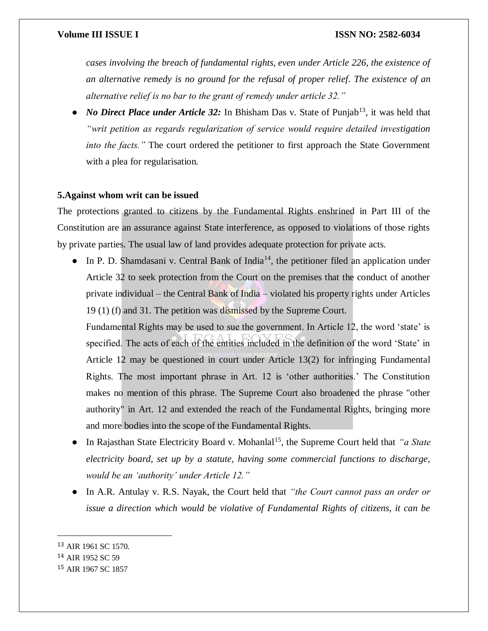*cases involving the breach of fundamental rights, even under Article 226, the existence of an alternative remedy is no ground for the refusal of proper relief. The existence of an alternative relief is no bar to the grant of remedy under article 32."*

*No Direct Place under Article 32:* In Bhisham Das v. State of Punjab<sup>13</sup>, it was held that *"writ petition as regards regularization of service would require detailed investigation into the facts."* The court ordered the petitioner to first approach the State Government with a plea for regularisation.

#### **5.Against whom writ can be issued**

The protections granted to citizens by the Fundamental Rights enshrined in Part III of the Constitution are an assurance against State interference, as opposed to violations of those rights by private parties. The usual law of land provides adequate protection for private acts.

• In P. D. Shamdasani v. Central Bank of India<sup>14</sup>, the petitioner filed an application under Article 32 to seek protection from the Court on the premises that the conduct of another private individual – the Central Bank of India – violated his property rights under Articles 19 (1) (f) and 31. The petition was dismissed by the Supreme Court.

Fundamental Rights may be used to sue the government. In Article 12, the word 'state' is specified. The acts of each of the entities included in the definition of the word 'State' in Article 12 may be questioned in court under Article 13(2) for infringing Fundamental Rights. The most important phrase in Art. 12 is 'other authorities.' The Constitution makes no mention of this phrase. The Supreme Court also broadened the phrase "other authority" in Art. 12 and extended the reach of the Fundamental Rights, bringing more and more bodies into the scope of the Fundamental Rights.

- In Rajasthan State Electricity Board v. Mohanlal<sup>15</sup>, the Supreme Court held that *"a State*" *electricity board, set up by a statute, having some commercial functions to discharge, would be an 'authority' under Article 12."*
- In A.R. Antulay v. R.S. Nayak, the Court held that *"the Court cannot pass an order or issue a direction which would be violative of Fundamental Rights of citizens, it can be*

 $\overline{a}$ 

<sup>13</sup> AIR 1961 SC 1570.

<sup>14</sup> AIR 1952 SC 59

<sup>15</sup> AIR 1967 SC 1857